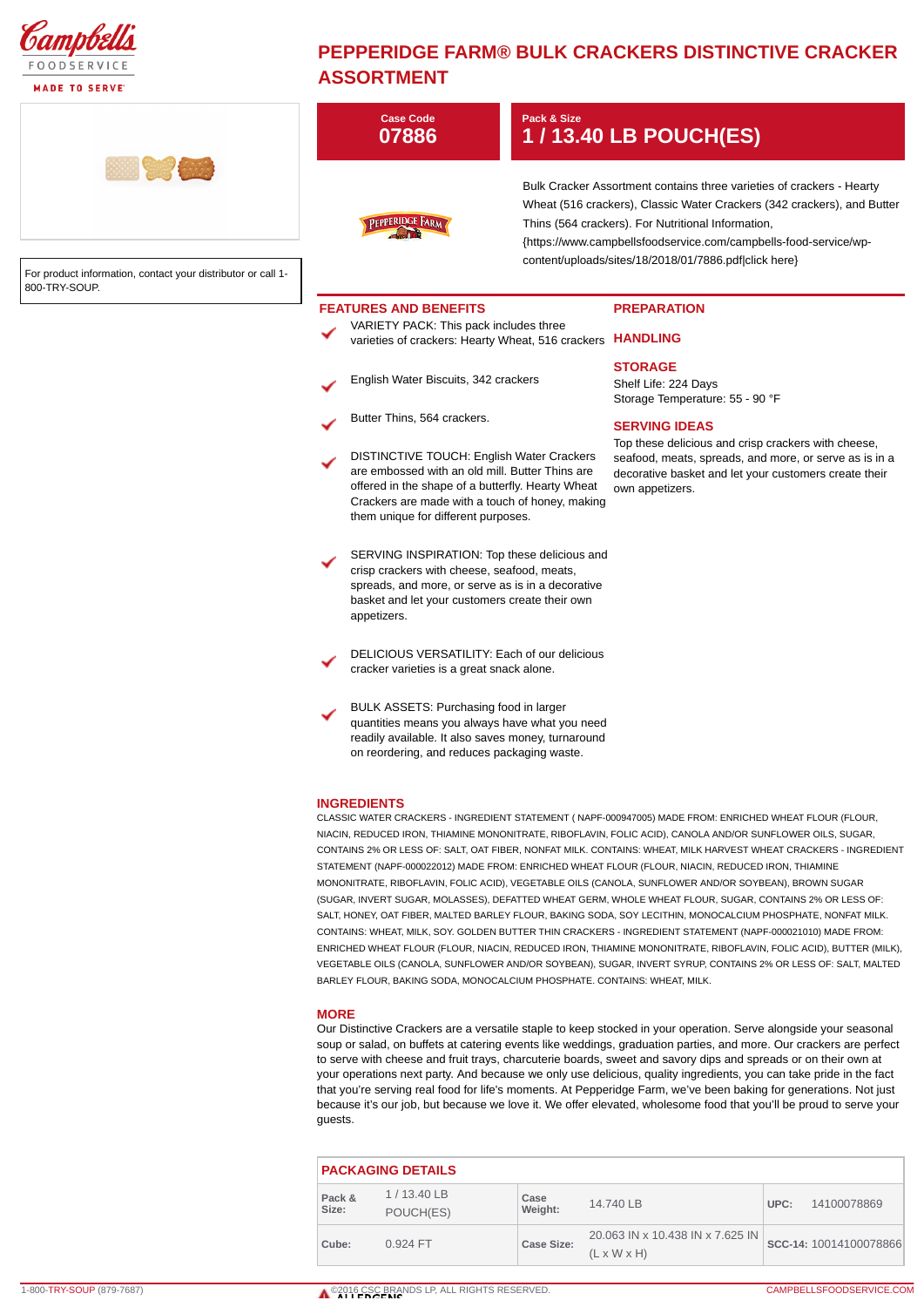

## **MADE TO SERVE**

## **PEPPERIDGE FARM® BULK CRACKERS DISTINCTIVE CRACKER ASSORTMENT**

|                                                                               | <b>Case Code</b><br>07886                                                                                                                                                                                                                          | Pack & Size                                                                                                                                                                                                                                                                                                                         | 1 / 13.40 LB POUCH(ES)                                                                                                                                                                                              |
|-------------------------------------------------------------------------------|----------------------------------------------------------------------------------------------------------------------------------------------------------------------------------------------------------------------------------------------------|-------------------------------------------------------------------------------------------------------------------------------------------------------------------------------------------------------------------------------------------------------------------------------------------------------------------------------------|---------------------------------------------------------------------------------------------------------------------------------------------------------------------------------------------------------------------|
| For product information, contact your distributor or call 1-<br>800-TRY-SOUP. | PEPPERIDGE FARM                                                                                                                                                                                                                                    | Bulk Cracker Assortment contains three varieties of crackers - Hearty<br>Wheat (516 crackers), Classic Water Crackers (342 crackers), and Butter<br>Thins (564 crackers). For Nutritional Information,<br>{https://www.campbellsfoodservice.com/campbells-food-service/wp-<br>content/uploads/sites/18/2018/01/7886.pdf click here} |                                                                                                                                                                                                                     |
|                                                                               | <b>FEATURES AND BENEFITS</b><br>VARIETY PACK: This pack includes three<br>varieties of crackers: Hearty Wheat, 516 crackers HANDLING                                                                                                               |                                                                                                                                                                                                                                                                                                                                     | <b>PREPARATION</b>                                                                                                                                                                                                  |
|                                                                               | English Water Biscuits, 342 crackers                                                                                                                                                                                                               |                                                                                                                                                                                                                                                                                                                                     | <b>STORAGE</b><br>Shelf Life: 224 Days<br>Storage Temperature: 55 - 90 °F                                                                                                                                           |
|                                                                               | Butter Thins, 564 crackers.                                                                                                                                                                                                                        |                                                                                                                                                                                                                                                                                                                                     | <b>SERVING IDEAS</b>                                                                                                                                                                                                |
|                                                                               | <b>DISTINCTIVE TOUCH: English Water Crackers</b><br>are embossed with an old mill. Butter Thins are<br>offered in the shape of a butterfly. Hearty Wheat<br>Crackers are made with a touch of honey, making<br>them unique for different purposes. |                                                                                                                                                                                                                                                                                                                                     | Top these delicious and crisp crackers with cheese,<br>seafood, meats, spreads, and more, or serve as is in a<br>decorative basket and let your customers create their<br>own appetizers.                           |
|                                                                               | SERVING INSPIRATION: Top these delicious and<br>crisp crackers with cheese, seafood, meats,<br>spreads, and more, or serve as is in a decorative<br>basket and let your customers create their own<br>appetizers.                                  |                                                                                                                                                                                                                                                                                                                                     |                                                                                                                                                                                                                     |
|                                                                               | DELICIOUS VERSATILITY: Each of our delicious<br>cracker varieties is a great snack alone.                                                                                                                                                          |                                                                                                                                                                                                                                                                                                                                     |                                                                                                                                                                                                                     |
|                                                                               | BULK ASSETS: Purchasing food in larger<br>quantities means you always have what you need<br>readily available. It also saves money, turnaround<br>on reordering, and reduces packaging waste.                                                      |                                                                                                                                                                                                                                                                                                                                     |                                                                                                                                                                                                                     |
|                                                                               | <b>INGREDIENTS</b>                                                                                                                                                                                                                                 |                                                                                                                                                                                                                                                                                                                                     | CLASSIC WATER CRACKERS - INGREDIENT STATEMENT (NAPF-000947005) MADE FROM: ENRICHED WHEAT FLOUR (FLOUR,<br>NIACIN, REDUCED IRON, THIAMINE MONONITRATE, RIBOFLAVIN, FOLIC ACID), CANOLA AND/OR SUNFLOWER OILS, SUGAR, |

CONTAINS 2% OR LESS OF: SALT, OAT FIBER, NONFAT MILK. CONTAINS: WHEAT, MILK HARVEST WHEAT CRACKERS - INGREDIENT STATEMENT (NAPF-000022012) MADE FROM: ENRICHED WHEAT FLOUR (FLOUR, NIACIN, REDUCED IRON, THIAMINE MONONITRATE, RIBOFLAVIN, FOLIC ACID), VEGETABLE OILS (CANOLA, SUNFLOWER AND/OR SOYBEAN), BROWN SUGAR (SUGAR, INVERT SUGAR, MOLASSES), DEFATTED WHEAT GERM, WHOLE WHEAT FLOUR, SUGAR, CONTAINS 2% OR LESS OF: SALT, HONEY, OAT FIBER, MALTED BARLEY FLOUR, BAKING SODA, SOY LECITHIN, MONOCALCIUM PHOSPHATE, NONFAT MILK. CONTAINS: WHEAT, MILK, SOY. GOLDEN BUTTER THIN CRACKERS - INGREDIENT STATEMENT (NAPF-000021010) MADE FROM: ENRICHED WHEAT FLOUR (FLOUR, NIACIN, REDUCED IRON, THIAMINE MONONITRATE, RIBOFLAVIN, FOLIC ACID), BUTTER (MILK), VEGETABLE OILS (CANOLA, SUNFLOWER AND/OR SOYBEAN), SUGAR, INVERT SYRUP, CONTAINS 2% OR LESS OF: SALT, MALTED BARLEY FLOUR, BAKING SODA, MONOCALCIUM PHOSPHATE. CONTAINS: WHEAT, MILK.

## **MORE**

Our Distinctive Crackers are a versatile staple to keep stocked in your operation. Serve alongside your seasonal soup or salad, on buffets at catering events like weddings, graduation parties, and more. Our crackers are perfect to serve with cheese and fruit trays, charcuterie boards, sweet and savory dips and spreads or on their own at your operations next party. And because we only use delicious, quality ingredients, you can take pride in the fact that you're serving real food for life's moments. At Pepperidge Farm, we've been baking for generations. Not just because it's our job, but because we love it. We offer elevated, wholesome food that you'll be proud to serve your guests.

| <b>PACKAGING DETAILS</b> |                           |                 |                                                             |      |                        |  |  |
|--------------------------|---------------------------|-----------------|-------------------------------------------------------------|------|------------------------|--|--|
| Pack &<br>Size:          | $1/13.40$ LB<br>POUCH(ES) | Case<br>Weight: | 14.740 LB                                                   | UPC: | 14100078869            |  |  |
| Cube:                    | $0.924$ FT                | Case Size:      | 20.063 IN x 10.438 IN x 7.625 IN<br>$(L \times W \times H)$ |      | SCC-14: 10014100078866 |  |  |